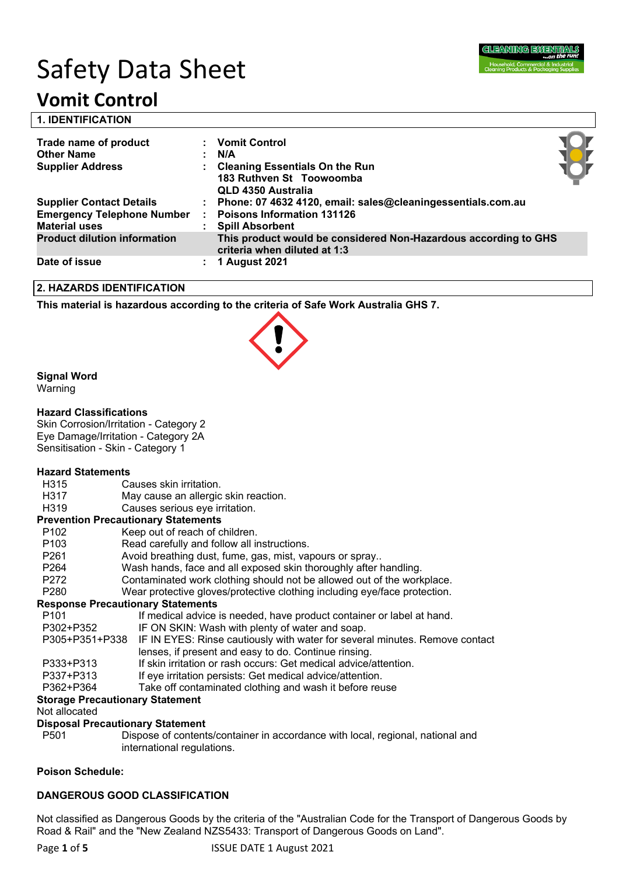

# Safety Data Sheet

## **Vomit Control**

| <b>1. IDENTIFICATION</b>                                              |                                                                                                 |  |
|-----------------------------------------------------------------------|-------------------------------------------------------------------------------------------------|--|
| Trade name of product<br><b>Other Name</b><br><b>Supplier Address</b> | <b>Vomit Control</b><br>N/A<br><b>Cleaning Essentials On the Run</b>                            |  |
|                                                                       | 183 Ruthven St Toowoomba<br><b>QLD 4350 Australia</b>                                           |  |
| <b>Supplier Contact Details</b>                                       | Phone: 07 4632 4120, email: sales@cleaningessentials.com.au                                     |  |
| <b>Emergency Telephone Number</b>                                     | <b>Poisons Information 131126</b>                                                               |  |
| <b>Material uses</b>                                                  | <b>Spill Absorbent</b>                                                                          |  |
| <b>Product dilution information</b>                                   | This product would be considered Non-Hazardous according to GHS<br>criteria when diluted at 1:3 |  |
| Date of issue                                                         | 1 August 2021                                                                                   |  |

#### **2. HAZARDS IDENTIFICATION**

**This material is hazardous according to the criteria of Safe Work Australia GHS 7.**

#### **Signal Word**

Warning

#### **Hazard Classifications**

Skin Corrosion/Irritation - Category 2 Eye Damage/Irritation - Category 2A Sensitisation - Skin - Category 1

#### **Hazard Statements**

H315 Causes skin irritation. H317 May cause an allergic skin reaction. H319 Causes serious eye irritation. **Prevention Precautionary Statements** P102 Keep out of reach of children. P103 Read carefully and follow all instructions. P261 Avoid breathing dust, fume, gas, mist, vapours or spray.. P264 Wash hands, face and all exposed skin thoroughly after handling. P272 Contaminated work clothing should not be allowed out of the workplace. P280 Wear protective gloves/protective clothing including eye/face protection. **Response Precautionary Statements** P101 If medical advice is needed, have product container or label at hand. P302+P352 IF ON SKIN: Wash with plenty of water and soap. P305+P351+P338 IF IN EYES: Rinse cautiously with water for several minutes. Remove contact lenses, if present and easy to do. Continue rinsing. P333+P313 If skin irritation or rash occurs: Get medical advice/attention.<br>P337+P313 If eve irritation persists: Get medical advice/attention. If eye irritation persists: Get medical advice/attention. P362+P364 Take off contaminated clothing and wash it before reuse

#### **Storage Precautionary Statement**

Not allocated

#### **Disposal Precautionary Statement**

P501 Dispose of contents/container in accordance with local, regional, national and international regulations.

#### **Poison Schedule:**

### **DANGEROUS GOOD CLASSIFICATION**

Not classified as Dangerous Goods by the criteria of the "Australian Code for the Transport of Dangerous Goods by Road & Rail" and the "New Zealand NZS5433: Transport of Dangerous Goods on Land".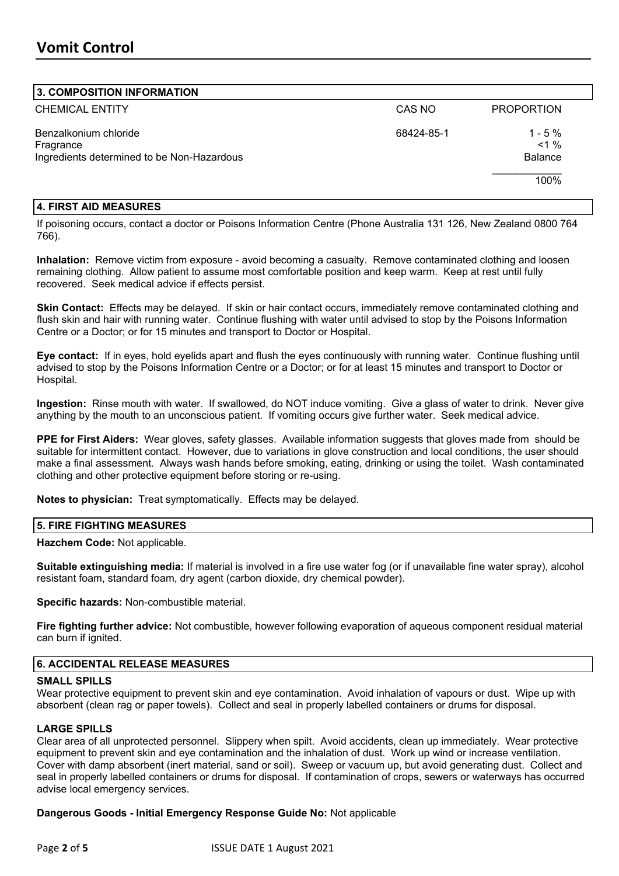#### **3. COMPOSITION INFORMATION**

| $\sim$ . סוטות סוויוס וויסו ווטט                                                 |            |                                          |
|----------------------------------------------------------------------------------|------------|------------------------------------------|
| <b>CHEMICAL ENTITY</b>                                                           | CAS NO     | <b>PROPORTION</b>                        |
| Benzalkonium chloride<br>Fragrance<br>Ingredients determined to be Non-Hazardous | 68424-85-1 | $1 - 5 \%$<br>$< 1 \%$<br><b>Balance</b> |
|                                                                                  |            | 100%                                     |

#### **4. FIRST AID MEASURES**

If poisoning occurs, contact a doctor or Poisons Information Centre (Phone Australia 131 126, New Zealand 0800 764 766).

**Inhalation:** Remove victim from exposure - avoid becoming a casualty. Remove contaminated clothing and loosen remaining clothing. Allow patient to assume most comfortable position and keep warm. Keep at rest until fully recovered. Seek medical advice if effects persist.

**Skin Contact:** Effects may be delayed. If skin or hair contact occurs, immediately remove contaminated clothing and flush skin and hair with running water. Continue flushing with water until advised to stop by the Poisons Information Centre or a Doctor; or for 15 minutes and transport to Doctor or Hospital.

**Eye contact:** If in eyes, hold eyelids apart and flush the eyes continuously with running water. Continue flushing until advised to stop by the Poisons Information Centre or a Doctor; or for at least 15 minutes and transport to Doctor or Hospital.

**Ingestion:** Rinse mouth with water. If swallowed, do NOT induce vomiting. Give a glass of water to drink. Never give anything by the mouth to an unconscious patient. If vomiting occurs give further water. Seek medical advice.

**PPE for First Aiders:** Wear gloves, safety glasses. Available information suggests that gloves made from should be suitable for intermittent contact. However, due to variations in glove construction and local conditions, the user should make a final assessment. Always wash hands before smoking, eating, drinking or using the toilet. Wash contaminated clothing and other protective equipment before storing or re-using.

**Notes to physician:** Treat symptomatically. Effects may be delayed.

#### **5. FIRE FIGHTING MEASURES**

**Hazchem Code:** Not applicable.

**Suitable extinguishing media:** If material is involved in a fire use water fog (or if unavailable fine water spray), alcohol resistant foam, standard foam, dry agent (carbon dioxide, dry chemical powder).

**Specific hazards:** Non-combustible material.

**Fire fighting further advice:** Not combustible, however following evaporation of aqueous component residual material can burn if ignited.

#### **6. ACCIDENTAL RELEASE MEASURES**

#### **SMALL SPILLS**

Wear protective equipment to prevent skin and eye contamination. Avoid inhalation of vapours or dust. Wipe up with absorbent (clean rag or paper towels). Collect and seal in properly labelled containers or drums for disposal.

#### **LARGE SPILLS**

Clear area of all unprotected personnel. Slippery when spilt. Avoid accidents, clean up immediately. Wear protective equipment to prevent skin and eye contamination and the inhalation of dust. Work up wind or increase ventilation. Cover with damp absorbent (inert material, sand or soil). Sweep or vacuum up, but avoid generating dust. Collect and seal in properly labelled containers or drums for disposal. If contamination of crops, sewers or waterways has occurred advise local emergency services.

#### **Dangerous Goods - Initial Emergency Response Guide No:** Not applicable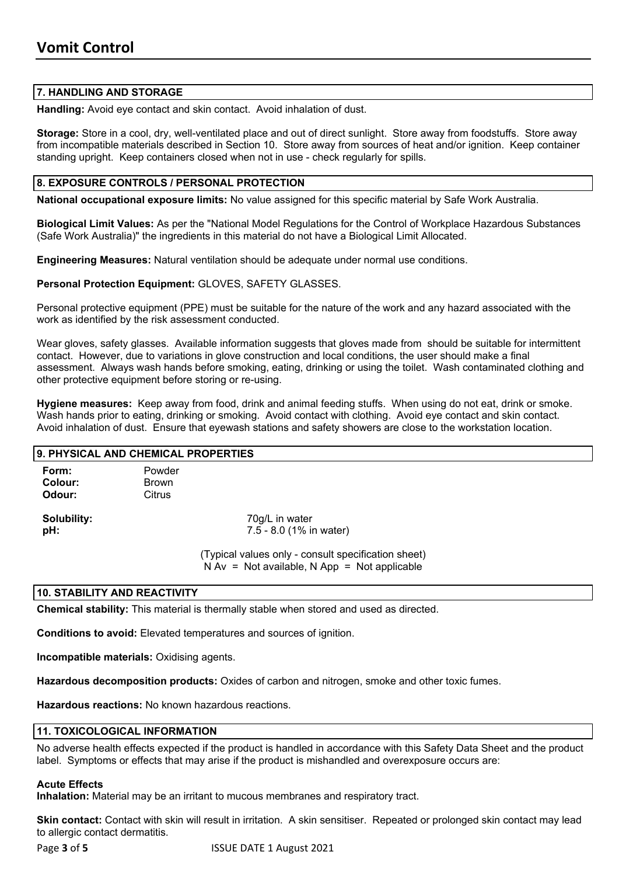#### **7. HANDLING AND STORAGE**

**Handling:** Avoid eye contact and skin contact. Avoid inhalation of dust.

**Storage:** Store in a cool, dry, well-ventilated place and out of direct sunlight. Store away from foodstuffs. Store away from incompatible materials described in Section 10. Store away from sources of heat and/or ignition. Keep container standing upright. Keep containers closed when not in use - check regularly for spills.

#### **8. EXPOSURE CONTROLS / PERSONAL PROTECTION**

**National occupational exposure limits:** No value assigned for this specific material by Safe Work Australia.

**Biological Limit Values:** As per the "National Model Regulations for the Control of Workplace Hazardous Substances (Safe Work Australia)" the ingredients in this material do not have a Biological Limit Allocated.

**Engineering Measures:** Natural ventilation should be adequate under normal use conditions.

**Personal Protection Equipment:** GLOVES, SAFETY GLASSES.

Personal protective equipment (PPE) must be suitable for the nature of the work and any hazard associated with the work as identified by the risk assessment conducted.

Wear gloves, safety glasses. Available information suggests that gloves made from should be suitable for intermittent contact. However, due to variations in glove construction and local conditions, the user should make a final assessment. Always wash hands before smoking, eating, drinking or using the toilet. Wash contaminated clothing and other protective equipment before storing or re-using.

**Hygiene measures:** Keep away from food, drink and animal feeding stuffs. When using do not eat, drink or smoke. Wash hands prior to eating, drinking or smoking. Avoid contact with clothing. Avoid eye contact and skin contact. Avoid inhalation of dust. Ensure that eyewash stations and safety showers are close to the workstation location.

|                            | 9. PHYSICAL AND CHEMICAL PROPERTIES |                                                                                                       |  |
|----------------------------|-------------------------------------|-------------------------------------------------------------------------------------------------------|--|
| Form:<br>Colour:<br>Odour: | Powder<br>Brown<br>Citrus           |                                                                                                       |  |
| Solubility:<br>pH:         |                                     | 70g/L in water<br>7.5 - 8.0 (1% in water)                                                             |  |
|                            |                                     | (Typical values only - consult specification sheet)<br>$N Av = Not available, N App = Not applicable$ |  |
|                            | 10. STABILITY AND REACTIVITY        |                                                                                                       |  |

**Chemical stability:** This material is thermally stable when stored and used as directed.

**Conditions to avoid:** Elevated temperatures and sources of ignition.

**Incompatible materials:** Oxidising agents.

**Hazardous decomposition products:** Oxides of carbon and nitrogen, smoke and other toxic fumes.

**Hazardous reactions:** No known hazardous reactions.

#### **11. TOXICOLOGICAL INFORMATION**

No adverse health effects expected if the product is handled in accordance with this Safety Data Sheet and the product label. Symptoms or effects that may arise if the product is mishandled and overexposure occurs are:

#### **Acute Effects**

**Inhalation:** Material may be an irritant to mucous membranes and respiratory tract.

**Skin contact:** Contact with skin will result in irritation. A skin sensitiser. Repeated or prolonged skin contact may lead to allergic contact dermatitis.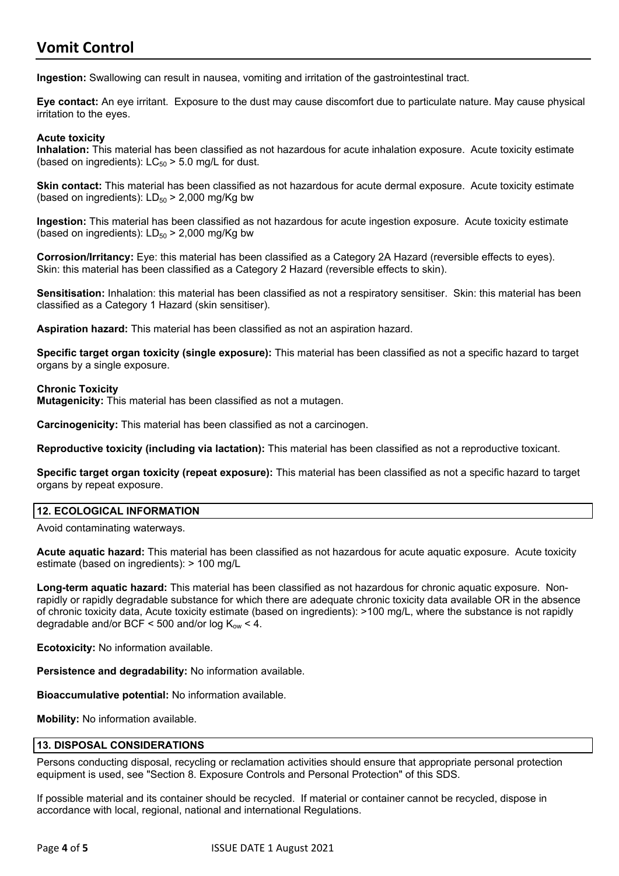### **Vomit Control**

**Ingestion:** Swallowing can result in nausea, vomiting and irritation of the gastrointestinal tract.

**Eye contact:** An eye irritant. Exposure to the dust may cause discomfort due to particulate nature. May cause physical irritation to the eyes.

#### **Acute toxicity**

**Inhalation:** This material has been classified as not hazardous for acute inhalation exposure. Acute toxicity estimate (based on ingredients):  $LC_{50}$  > 5.0 mg/L for dust.

**Skin contact:** This material has been classified as not hazardous for acute dermal exposure. Acute toxicity estimate (based on ingredients):  $LD_{50}$  > 2,000 mg/Kg bw

**Ingestion:** This material has been classified as not hazardous for acute ingestion exposure. Acute toxicity estimate (based on ingredients):  $LD_{50}$  > 2,000 mg/Kg bw

**Corrosion/Irritancy:** Eye: this material has been classified as a Category 2A Hazard (reversible effects to eyes). Skin: this material has been classified as a Category 2 Hazard (reversible effects to skin).

**Sensitisation:** Inhalation: this material has been classified as not a respiratory sensitiser. Skin: this material has been classified as a Category 1 Hazard (skin sensitiser).

**Aspiration hazard:** This material has been classified as not an aspiration hazard.

**Specific target organ toxicity (single exposure):** This material has been classified as not a specific hazard to target organs by a single exposure.

#### **Chronic Toxicity**

**Mutagenicity:** This material has been classified as not a mutagen.

**Carcinogenicity:** This material has been classified as not a carcinogen.

**Reproductive toxicity (including via lactation):** This material has been classified as not a reproductive toxicant.

**Specific target organ toxicity (repeat exposure):** This material has been classified as not a specific hazard to target organs by repeat exposure.

#### **12. ECOLOGICAL INFORMATION**

Avoid contaminating waterways.

**Acute aquatic hazard:** This material has been classified as not hazardous for acute aquatic exposure. Acute toxicity estimate (based on ingredients): > 100 mg/L

**Long-term aquatic hazard:** This material has been classified as not hazardous for chronic aquatic exposure. Nonrapidly or rapidly degradable substance for which there are adequate chronic toxicity data available OR in the absence of chronic toxicity data, Acute toxicity estimate (based on ingredients): >100 mg/L, where the substance is not rapidly degradable and/or BCF < 500 and/or log  $K_{ow}$  < 4.

**Ecotoxicity:** No information available.

**Persistence and degradability:** No information available.

**Bioaccumulative potential:** No information available.

**Mobility:** No information available.

#### **13. DISPOSAL CONSIDERATIONS**

Persons conducting disposal, recycling or reclamation activities should ensure that appropriate personal protection equipment is used, see "Section 8. Exposure Controls and Personal Protection" of this SDS.

If possible material and its container should be recycled. If material or container cannot be recycled, dispose in accordance with local, regional, national and international Regulations.